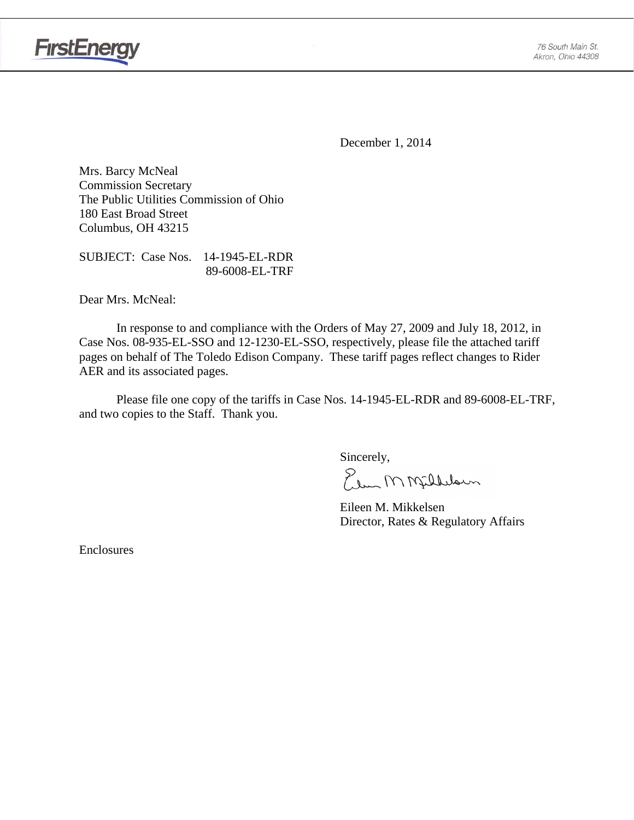

**FirstEnergy** 

December 1, 2014

Mrs. Barcy McNeal Commission Secretary The Public Utilities Commission of Ohio 180 East Broad Street Columbus, OH 43215

SUBJECT: Case Nos. 14-1945-EL-RDR 89-6008-EL-TRF

Dear Mrs. McNeal:

 In response to and compliance with the Orders of May 27, 2009 and July 18, 2012, in Case Nos. 08-935-EL-SSO and 12-1230-EL-SSO, respectively, please file the attached tariff pages on behalf of The Toledo Edison Company. These tariff pages reflect changes to Rider AER and its associated pages.

Please file one copy of the tariffs in Case Nos. 14-1945-EL-RDR and 89-6008-EL-TRF, and two copies to the Staff. Thank you.

Sincerely,

Elem M Milleloun

 Eileen M. Mikkelsen Director, Rates & Regulatory Affairs

Enclosures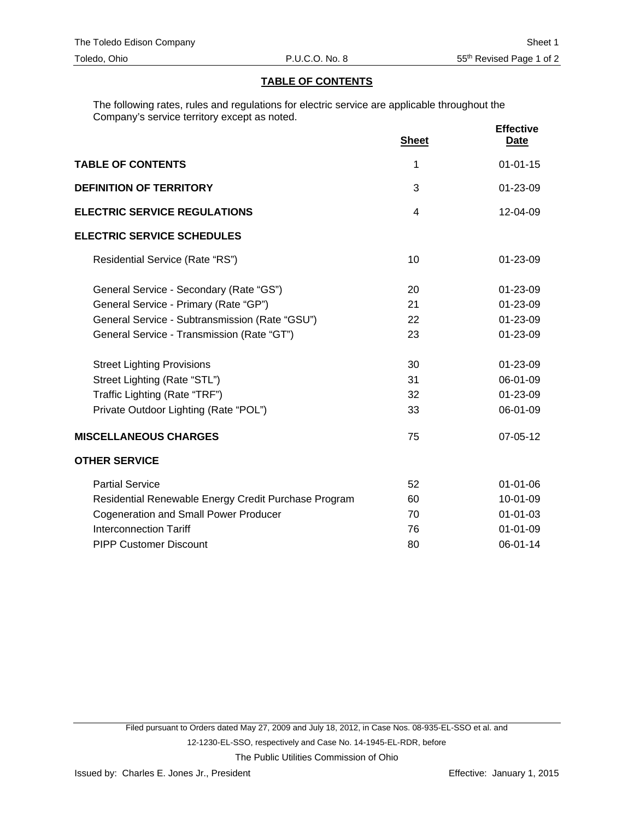#### **TABLE OF CONTENTS**

The following rates, rules and regulations for electric service are applicable throughout the Company's service territory except as noted.

|                                                      | <b>Sheet</b>   | <b>Effective</b><br><b>Date</b> |
|------------------------------------------------------|----------------|---------------------------------|
| <b>TABLE OF CONTENTS</b>                             | 1              | $01 - 01 - 15$                  |
| <b>DEFINITION OF TERRITORY</b>                       | 3              | $01 - 23 - 09$                  |
| <b>ELECTRIC SERVICE REGULATIONS</b>                  | $\overline{4}$ | 12-04-09                        |
| <b>ELECTRIC SERVICE SCHEDULES</b>                    |                |                                 |
| Residential Service (Rate "RS")                      | 10             | $01 - 23 - 09$                  |
| General Service - Secondary (Rate "GS")              | 20             | 01-23-09                        |
| General Service - Primary (Rate "GP")                | 21             | 01-23-09                        |
| General Service - Subtransmission (Rate "GSU")       | 22             | 01-23-09                        |
| General Service - Transmission (Rate "GT")           | 23             | 01-23-09                        |
| <b>Street Lighting Provisions</b>                    | 30             | 01-23-09                        |
| Street Lighting (Rate "STL")                         | 31             | 06-01-09                        |
| Traffic Lighting (Rate "TRF")                        | 32             | 01-23-09                        |
| Private Outdoor Lighting (Rate "POL")                | 33             | 06-01-09                        |
| <b>MISCELLANEOUS CHARGES</b>                         | 75             | 07-05-12                        |
| <b>OTHER SERVICE</b>                                 |                |                                 |
| <b>Partial Service</b>                               | 52             | $01 - 01 - 06$                  |
| Residential Renewable Energy Credit Purchase Program | 60             | 10-01-09                        |
| <b>Cogeneration and Small Power Producer</b>         | 70             | $01 - 01 - 03$                  |
| <b>Interconnection Tariff</b>                        | 76             | $01 - 01 - 09$                  |
| <b>PIPP Customer Discount</b>                        | 80             | 06-01-14                        |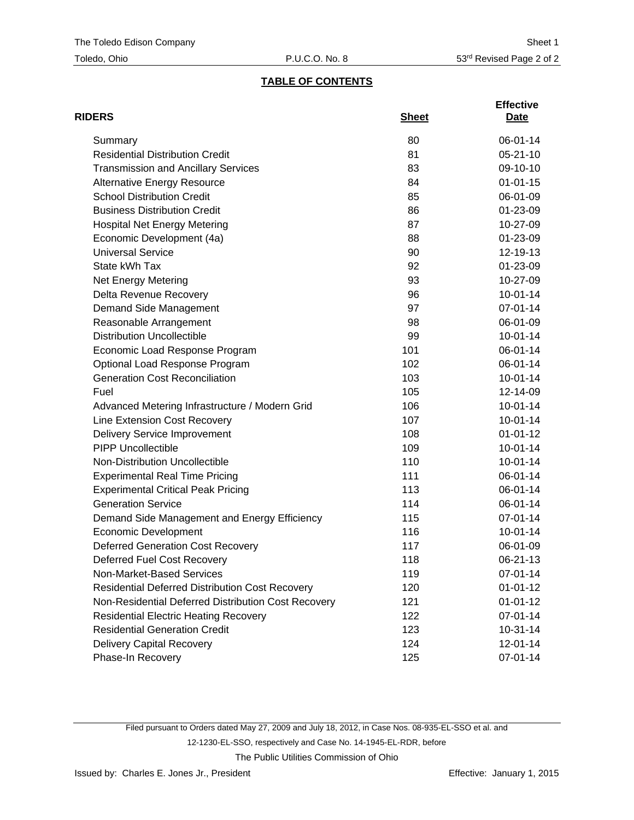# **TABLE OF CONTENTS**

| <b>RIDERS</b>                                          | <b>Sheet</b> | <b>Effective</b><br>Date |
|--------------------------------------------------------|--------------|--------------------------|
| Summary                                                | 80           | 06-01-14                 |
| <b>Residential Distribution Credit</b>                 | 81           | $05 - 21 - 10$           |
| <b>Transmission and Ancillary Services</b>             | 83           | 09-10-10                 |
| <b>Alternative Energy Resource</b>                     | 84           | $01 - 01 - 15$           |
| <b>School Distribution Credit</b>                      | 85           | 06-01-09                 |
| <b>Business Distribution Credit</b>                    | 86           | 01-23-09                 |
| <b>Hospital Net Energy Metering</b>                    | 87           | 10-27-09                 |
| Economic Development (4a)                              | 88           | 01-23-09                 |
| <b>Universal Service</b>                               | 90           | 12-19-13                 |
| State kWh Tax                                          | 92           | 01-23-09                 |
| Net Energy Metering                                    | 93           | 10-27-09                 |
| Delta Revenue Recovery                                 | 96           | $10 - 01 - 14$           |
| Demand Side Management                                 | 97           | 07-01-14                 |
| Reasonable Arrangement                                 | 98           | 06-01-09                 |
| <b>Distribution Uncollectible</b>                      | 99           | $10 - 01 - 14$           |
| Economic Load Response Program                         | 101          | 06-01-14                 |
| Optional Load Response Program                         | 102          | 06-01-14                 |
| <b>Generation Cost Reconciliation</b>                  | 103          | $10 - 01 - 14$           |
| Fuel                                                   | 105          | 12-14-09                 |
| Advanced Metering Infrastructure / Modern Grid         | 106          | $10 - 01 - 14$           |
| Line Extension Cost Recovery                           | 107          | $10 - 01 - 14$           |
| <b>Delivery Service Improvement</b>                    | 108          | $01 - 01 - 12$           |
| <b>PIPP Uncollectible</b>                              | 109          | $10 - 01 - 14$           |
| Non-Distribution Uncollectible                         | 110          | $10 - 01 - 14$           |
| <b>Experimental Real Time Pricing</b>                  | 111          | 06-01-14                 |
| <b>Experimental Critical Peak Pricing</b>              | 113          | 06-01-14                 |
| <b>Generation Service</b>                              | 114          | 06-01-14                 |
| Demand Side Management and Energy Efficiency           | 115          | 07-01-14                 |
| <b>Economic Development</b>                            | 116          | $10 - 01 - 14$           |
| <b>Deferred Generation Cost Recovery</b>               | 117          | 06-01-09                 |
| Deferred Fuel Cost Recovery                            | 118          | 06-21-13                 |
| Non-Market-Based Services                              | 119          | 07-01-14                 |
| <b>Residential Deferred Distribution Cost Recovery</b> | 120          | $01 - 01 - 12$           |
| Non-Residential Deferred Distribution Cost Recovery    | 121          | $01 - 01 - 12$           |
| <b>Residential Electric Heating Recovery</b>           | 122          | 07-01-14                 |
| <b>Residential Generation Credit</b>                   | 123          | $10-31-14$               |
| Delivery Capital Recovery                              | 124          | 12-01-14                 |
| Phase-In Recovery                                      | 125          | 07-01-14                 |

Filed pursuant to Orders dated May 27, 2009 and July 18, 2012, in Case Nos. 08-935-EL-SSO et al. and 12-1230-EL-SSO, respectively and Case No. 14-1945-EL-RDR, before

The Public Utilities Commission of Ohio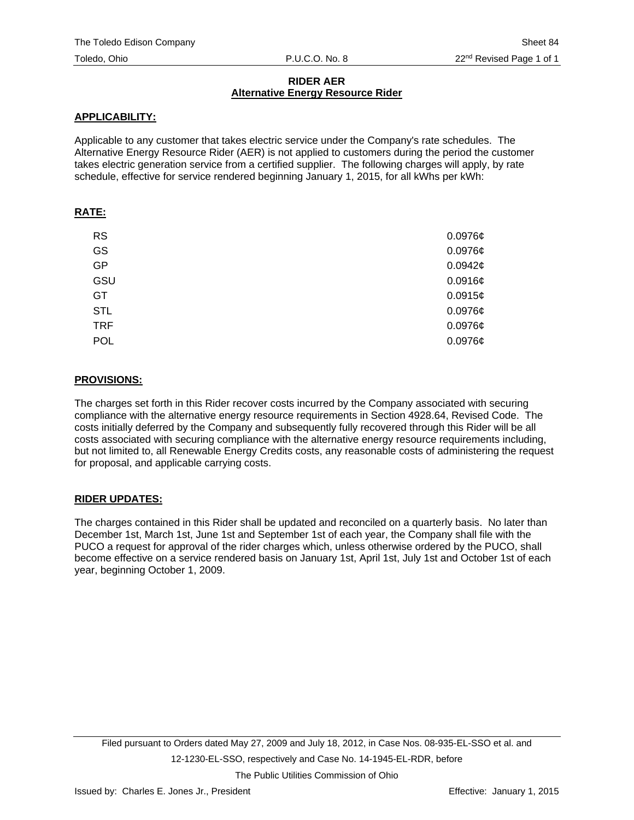#### **RIDER AER Alternative Energy Resource Rider**

#### **APPLICABILITY:**

Applicable to any customer that takes electric service under the Company's rate schedules. The Alternative Energy Resource Rider (AER) is not applied to customers during the period the customer takes electric generation service from a certified supplier. The following charges will apply, by rate schedule, effective for service rendered beginning January 1, 2015, for all kWhs per kWh:

## **RATE:**

| <b>RS</b>  | $0.0976$ ¢ |
|------------|------------|
| GS         | $0.0976$ ¢ |
| GP         | 0.0942c    |
| GSU        | $0.0916$ ¢ |
| <b>GT</b>  | 0.0915c    |
| <b>STL</b> | $0.0976$ ¢ |
| <b>TRF</b> | $0.0976$ ¢ |
| <b>POL</b> | $0.0976$ ¢ |

## **PROVISIONS:**

The charges set forth in this Rider recover costs incurred by the Company associated with securing compliance with the alternative energy resource requirements in Section 4928.64, Revised Code. The costs initially deferred by the Company and subsequently fully recovered through this Rider will be all costs associated with securing compliance with the alternative energy resource requirements including, but not limited to, all Renewable Energy Credits costs, any reasonable costs of administering the request for proposal, and applicable carrying costs.

## **RIDER UPDATES:**

The charges contained in this Rider shall be updated and reconciled on a quarterly basis. No later than December 1st, March 1st, June 1st and September 1st of each year, the Company shall file with the PUCO a request for approval of the rider charges which, unless otherwise ordered by the PUCO, shall become effective on a service rendered basis on January 1st, April 1st, July 1st and October 1st of each year, beginning October 1, 2009.

The Public Utilities Commission of Ohio